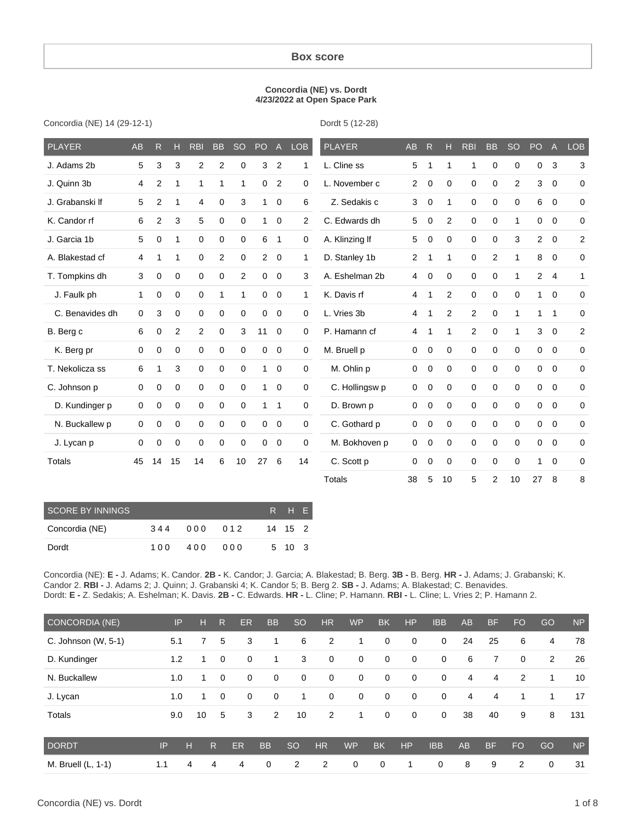#### **Box score**

#### **Concordia (NE) vs. Dordt 4/23/2022 at Open Space Park**

Concordia (NE) 14 (29-12-1)

Dordt 5 (12-28)

| <b>PLAYER</b>   | AB | R              | н           | <b>RBI</b>     | <b>BB</b>   | <b>SO</b>    | PO             | $\mathsf{A}$   | <b>LOB</b>     | <b>PLAYER</b>  | AB             | R           | н  | <b>RBI</b>   | <b>BB</b>      | <b>SO</b>      | PO             | $\mathsf{A}$   | <b>LOB</b>   |
|-----------------|----|----------------|-------------|----------------|-------------|--------------|----------------|----------------|----------------|----------------|----------------|-------------|----|--------------|----------------|----------------|----------------|----------------|--------------|
| J. Adams 2b     | 5  | 3              | 3           | $\overline{2}$ | 2           | 0            | 3              | $\overline{2}$ | $\mathbf{1}$   | L. Cline ss    | 5              | 1           | 1  | $\mathbf{1}$ | 0              | 0              | 0              | 3              | 3            |
| J. Quinn 3b     | 4  | $\overline{2}$ | 1           | 1              | 1           | 1            | 0              | $\overline{2}$ | 0              | L. November c  | $\overline{2}$ | 0           | 0  | $\mathbf 0$  | 0              | $\overline{2}$ | 3              | $\mathbf 0$    | 0            |
| J. Grabanski If | 5  | 2              | 1           | 4              | $\mathbf 0$ | 3            | $\mathbf{1}$   | $\mathbf 0$    | 6              | Z. Sedakis c   | 3              | 0           | 1  | $\mathbf 0$  | 0              | $\mathbf 0$    | 6              | $\mathbf 0$    | 0            |
| K. Candor rf    | 6  | $\overline{2}$ | 3           | 5              | 0           | $\mathbf 0$  | $\mathbf{1}$   | $\mathbf 0$    | $\overline{2}$ | C. Edwards dh  | 5              | 0           | 2  | $\mathbf 0$  | 0              | 1              | 0              | $\mathbf 0$    | 0            |
| J. Garcia 1b    | 5  | 0              | 1           | $\mathbf 0$    | 0           | 0            | 6              | $\mathbf{1}$   | 0              | A. Klinzing If | 5              | 0           | 0  | $\mathbf 0$  | 0              | 3              | $\overline{2}$ | $\mathbf 0$    | 2            |
| A. Blakestad cf | 4  | 1              | 1           | $\mathbf 0$    | 2           | $\mathbf 0$  | $\overline{2}$ | $\mathbf 0$    | $\mathbf{1}$   | D. Stanley 1b  | 2              | $\mathbf 1$ | 1  | 0            | $\overline{c}$ | 1              | 8              | $\mathbf 0$    | 0            |
| T. Tompkins dh  | 3  | 0              | $\mathbf 0$ | $\mathbf 0$    | $\mathbf 0$ | 2            | $\mathbf 0$    | $\mathbf 0$    | 3              | A. Eshelman 2b | 4              | 0           | 0  | $\mathbf 0$  | $\mathbf 0$    | $\mathbf{1}$   | $\overline{2}$ | $\overline{4}$ | $\mathbf{1}$ |
| J. Faulk ph     | 1  | 0              | $\mathbf 0$ | $\mathbf 0$    | 1           | $\mathbf{1}$ | $\mathbf 0$    | $\mathbf 0$    | $\mathbf{1}$   | K. Davis rf    | 4              | 1           | 2  | $\mathbf 0$  | $\mathbf 0$    | $\mathbf 0$    | $\mathbf{1}$   | $\mathbf 0$    | $\mathbf 0$  |
| C. Benavides dh | 0  | 3              | $\mathbf 0$ | $\mathbf 0$    | 0           | $\mathbf 0$  | $\mathbf 0$    | $\mathbf 0$    | $\mathbf 0$    | L. Vries 3b    | 4              | $\mathbf 1$ | 2  | $\mathbf{2}$ | 0              | 1              | 1.             | $\mathbf{1}$   | $\mathbf 0$  |
| B. Berg c       | 6  | 0              | 2           | $\mathbf{2}$   | 0           | 3            | 11             | $\mathbf 0$    | $\mathbf 0$    | P. Hamann cf   | 4              | $\mathbf 1$ | 1  | 2            | 0              | $\mathbf{1}$   | 3              | $\mathbf 0$    | 2            |
| K. Berg pr      | 0  | 0              | 0           | $\mathbf 0$    | 0           | 0            | 0              | 0              | 0              | M. Bruell p    | 0              | 0           | 0  | $\mathbf 0$  | 0              | $\mathbf 0$    | 0              | $\mathbf 0$    | 0            |
| T. Nekolicza ss | 6  | 1              | 3           | $\mathbf 0$    | 0           | $\mathbf 0$  | $\mathbf{1}$   | $\overline{0}$ | 0              | M. Ohlin p     | 0              | 0           | 0  | $\mathbf 0$  | 0              | $\mathbf 0$    | 0              | $\mathbf 0$    | $\mathbf 0$  |
| C. Johnson p    | 0  | 0              | $\mathbf 0$ | $\mathbf 0$    | 0           | $\mathbf 0$  | 1              | $\overline{0}$ | $\mathbf 0$    | C. Hollingsw p | 0              | 0           | 0  | $\mathbf 0$  | $\mathbf 0$    | $\mathbf 0$    | $\mathbf 0$    | $\mathbf 0$    | $\mathbf 0$  |
| D. Kundinger p  | 0  | 0              | $\mathbf 0$ | $\mathbf 0$    | 0           | $\mathbf 0$  | $\mathbf 1$    | $\mathbf{1}$   | $\mathbf 0$    | D. Brown p     | 0              | 0           | 0  | $\mathbf 0$  | 0              | $\mathbf 0$    | $\mathbf 0$    | $\mathbf 0$    | 0            |
| N. Buckallew p  | 0  | 0              | 0           | $\mathbf 0$    | 0           | $\mathbf 0$  | $\mathbf 0$    | $\mathbf 0$    | 0              | C. Gothard p   | 0              | 0           | 0  | $\mathbf 0$  | 0              | $\mathbf 0$    | $\mathbf 0$    | $\mathbf 0$    | 0            |
| J. Lycan p      | 0  | 0              | 0           | $\mathbf 0$    | 0           | $\mathbf 0$  | 0              | 0              | 0              | M. Bokhoven p  | 0              | 0           | 0  | $\mathbf 0$  | 0              | $\mathbf 0$    | 0              | $\mathbf 0$    | 0            |
| Totals          | 45 | 14             | 15          | 14             | 6           | 10           | 27             | 6              | 14             | C. Scott p     | 0              | 0           | 0  | $\mathbf 0$  | 0              | $\mathbf 0$    | 1.             | $\mathbf 0$    | 0            |
|                 |    |                |             |                |             |              |                |                |                | <b>Totals</b>  | 38             | 5           | 10 | 5            | 2              | 10             | 27             | 8              | 8            |

| <b>SCORE BY INNINGS</b> |     |     |     | R H F   |  |
|-------------------------|-----|-----|-----|---------|--|
| Concordia (NE)          | 344 | 000 | 012 | 14 15 2 |  |
| Dordt                   | 100 | 400 |     | 5 10 3  |  |

Concordia (NE): **E -** J. Adams; K. Candor. **2B -** K. Candor; J. Garcia; A. Blakestad; B. Berg. **3B -** B. Berg. **HR -** J. Adams; J. Grabanski; K. Candor 2. **RBI -** J. Adams 2; J. Quinn; J. Grabanski 4; K. Candor 5; B. Berg 2. **SB -** J. Adams; A. Blakestad; C. Benavides. Dordt: **E -** Z. Sedakis; A. Eshelman; K. Davis. **2B -** C. Edwards. **HR -** L. Cline; P. Hamann. **RBI -** L. Cline; L. Vries 2; P. Hamann 2.

| CONCORDIA (NE)      | IP  | н  | $\mathsf{R}$ | ER          | <b>BB</b>      | <sub>SO</sub> | <b>HR</b>   | <b>WP</b>   | <b>BK</b>   | <b>HP</b>   | <b>IBB</b>  | <b>AB</b> | <b>BF</b> | <b>FO</b>      | GO | <b>NP</b> |
|---------------------|-----|----|--------------|-------------|----------------|---------------|-------------|-------------|-------------|-------------|-------------|-----------|-----------|----------------|----|-----------|
| C. Johnson (W, 5-1) | 5.1 | 7  | 5            | 3           | 1              | 6             | 2           | 1           | 0           | $\mathbf 0$ | $\mathbf 0$ | 24        | 25        | 6              | 4  | 78        |
| D. Kundinger        | 1.2 | 1. | $\mathbf 0$  | 0           | 1              | 3             | 0           | 0           | 0           | $\mathbf 0$ | 0           | 6         | 7         | $\mathbf 0$    | 2  | 26        |
| N. Buckallew        | 1.0 | 1. | $\mathbf 0$  | $\mathbf 0$ | $\mathbf 0$    | 0             | $\mathbf 0$ | $\mathbf 0$ | $\mathbf 0$ | $\mathbf 0$ | $\mathbf 0$ | 4         | 4         | 2              | 1  | 10        |
| J. Lycan            | 1.0 | 1. | $\mathbf 0$  | $\mathbf 0$ | 0              | 1             | $\mathbf 0$ | 0           | 0           | $\mathbf 0$ | $\mathbf 0$ | 4         | 4         |                | 1  | 17        |
| Totals              | 9.0 | 10 | 5            | 3           | $\overline{2}$ | 10            | 2           | 1           | 0           | $\mathbf 0$ | $\mathbf 0$ | 38        | 40        | 9              | 8  | 131       |
| <b>DORDT</b>        | IP  | н  | R            | <b>ER</b>   | <b>BB</b>      | <sub>SO</sub> | <b>HR</b>   | <b>WP</b>   | <b>BK</b>   | <b>HP</b>   | <b>IBB</b>  | AB        | <b>BF</b> | <b>FO</b>      | GO | <b>NP</b> |
| M. Bruell (L, 1-1)  | 1.1 | 4  | 4            | 4           | $\mathbf 0$    | 2             | 2           | $\mathbf 0$ | 0           | 1           | $\mathbf 0$ | 8         | 9         | $\overline{2}$ | 0  | 31        |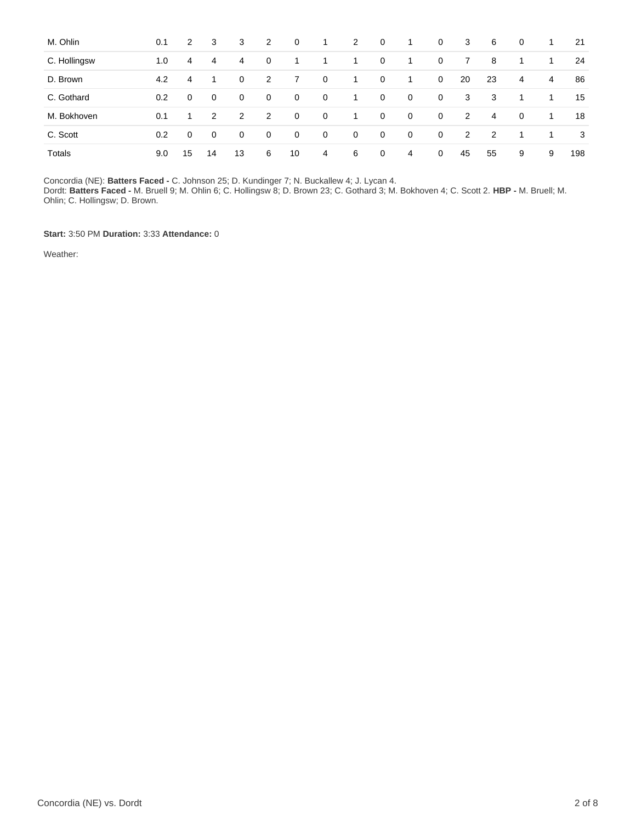| M. Ohlin     | 0.1 | $\mathbf{2}$ | 3             | 3  | 2           | $\mathbf 0$    | -1          | $\mathbf{2}$ | 0           | 1              | 0           | 3  | 6  | $\mathbf 0$ | 1 | -21 |
|--------------|-----|--------------|---------------|----|-------------|----------------|-------------|--------------|-------------|----------------|-------------|----|----|-------------|---|-----|
| C. Hollingsw | 1.0 | 4            | 4             | 4  | $\mathbf 0$ | 1              |             | 1.           | $\mathbf 0$ | 1              | $\mathbf 0$ | 7  | 8  | -1          | 1 | 24  |
| D. Brown     | 4.2 | 4            |               | 0  | 2           | $\overline{7}$ | $\mathbf 0$ | 1            | $\mathbf 0$ | 1              | 0           | 20 | 23 | 4           | 4 | 86  |
| C. Gothard   | 0.2 | 0            | $\mathbf 0$   | 0  | $\mathbf 0$ | $\mathbf 0$    | $\mathbf 0$ | 1.           | $\mathbf 0$ | $\mathbf 0$    | $\mathbf 0$ | 3  | 3  | 1           | 1 | 15  |
| M. Bokhoven  | 0.1 | 1.           | $\mathcal{P}$ | 2  | 2           | $\mathbf 0$    | $\mathbf 0$ | 1.           | $\mathbf 0$ | $\mathbf 0$    | $\mathbf 0$ | 2  | 4  | $\mathbf 0$ | 1 | 18  |
| C. Scott     | 0.2 | 0            | $\mathbf 0$   | 0  | $\mathbf 0$ | $\mathbf 0$    | $\mathbf 0$ | $\mathbf 0$  | 0           | 0              | 0           | 2  | 2  | 1           | 1 | 3   |
| Totals       | 9.0 | 15           | 14            | 13 | 6           | 10             | 4           | 6            | $\mathbf 0$ | $\overline{4}$ | $\mathbf 0$ | 45 | 55 | 9           | 9 | 198 |

Concordia (NE): **Batters Faced -** C. Johnson 25; D. Kundinger 7; N. Buckallew 4; J. Lycan 4.

Dordt: **Batters Faced -** M. Bruell 9; M. Ohlin 6; C. Hollingsw 8; D. Brown 23; C. Gothard 3; M. Bokhoven 4; C. Scott 2. **HBP -** M. Bruell; M. Ohlin; C. Hollingsw; D. Brown.

**Start:** 3:50 PM **Duration:** 3:33 **Attendance:** 0

Weather: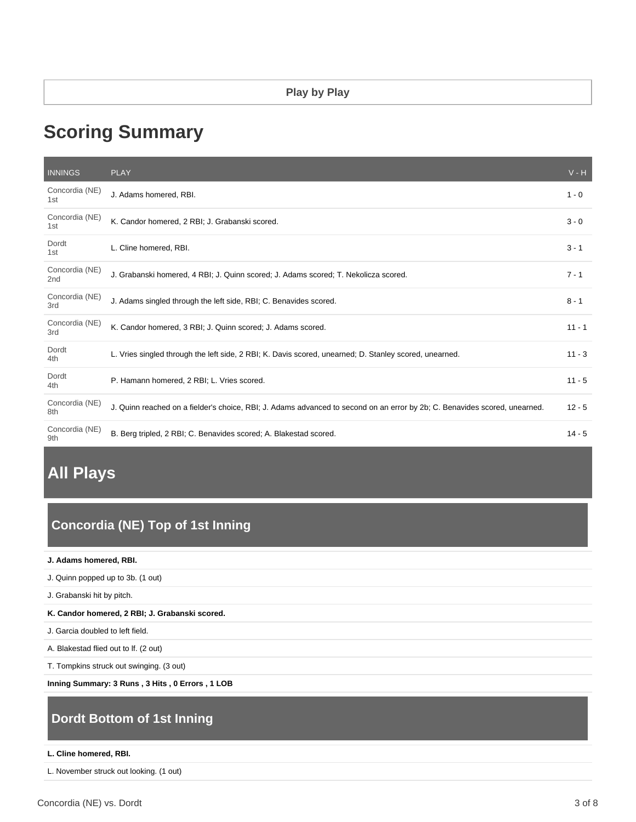#### **Play by Play**

# **Scoring Summary**

| <b>INNINGS</b>        | <b>PLAY</b>                                                                                                                | $V - H$  |
|-----------------------|----------------------------------------------------------------------------------------------------------------------------|----------|
| Concordia (NE)<br>1st | J. Adams homered. RBI.                                                                                                     | $1 - 0$  |
| Concordia (NE)<br>1st | K. Candor homered, 2 RBI; J. Grabanski scored.                                                                             | $3 - 0$  |
| Dordt<br>1st          | L. Cline homered, RBI.                                                                                                     | $3 - 1$  |
| Concordia (NE)<br>2nd | J. Grabanski homered, 4 RBI; J. Quinn scored; J. Adams scored; T. Nekolicza scored.                                        | $7 - 1$  |
| Concordia (NE)<br>3rd | J. Adams singled through the left side, RBI; C. Benavides scored.                                                          | $8 - 1$  |
| Concordia (NE)<br>3rd | K. Candor homered, 3 RBI; J. Quinn scored; J. Adams scored.                                                                | $11 - 1$ |
| Dordt<br>4th          | L. Vries singled through the left side, 2 RBI; K. Davis scored, unearned; D. Stanley scored, unearned.                     | $11 - 3$ |
| Dordt<br>4th          | P. Hamann homered, 2 RBI; L. Vries scored.                                                                                 | $11 - 5$ |
| Concordia (NE)<br>8th | J. Quinn reached on a fielder's choice, RBI; J. Adams advanced to second on an error by 2b; C. Benavides scored, unearned. | $12 - 5$ |
| Concordia (NE)<br>9th | B. Berg tripled, 2 RBI; C. Benavides scored; A. Blakestad scored.                                                          | $14 - 5$ |

# **All Plays**

# **Concordia (NE) Top of 1st Inning**

**J. Adams homered, RBI.**

J. Quinn popped up to 3b. (1 out)

J. Grabanski hit by pitch.

**K. Candor homered, 2 RBI; J. Grabanski scored.**

J. Garcia doubled to left field.

A. Blakestad flied out to lf. (2 out)

T. Tompkins struck out swinging. (3 out)

**Inning Summary: 3 Runs , 3 Hits , 0 Errors , 1 LOB**

# **Dordt Bottom of 1st Inning**

#### **L. Cline homered, RBI.**

L. November struck out looking. (1 out)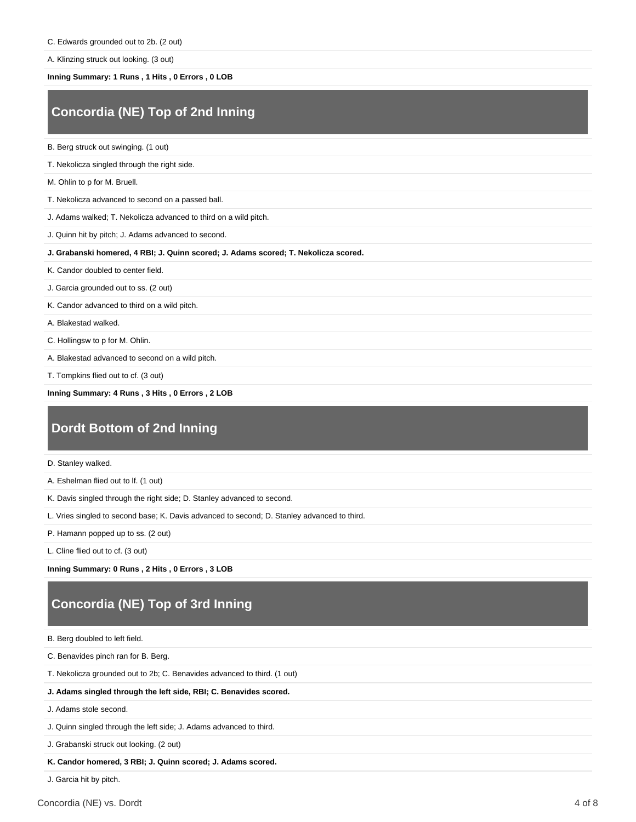A. Klinzing struck out looking. (3 out)

#### **Inning Summary: 1 Runs , 1 Hits , 0 Errors , 0 LOB**

# **Concordia (NE) Top of 2nd Inning**

B. Berg struck out swinging. (1 out)

T. Nekolicza singled through the right side.

M. Ohlin to p for M. Bruell.

T. Nekolicza advanced to second on a passed ball.

J. Adams walked; T. Nekolicza advanced to third on a wild pitch.

J. Quinn hit by pitch; J. Adams advanced to second.

**J. Grabanski homered, 4 RBI; J. Quinn scored; J. Adams scored; T. Nekolicza scored.**

K. Candor doubled to center field.

J. Garcia grounded out to ss. (2 out)

K. Candor advanced to third on a wild pitch.

A. Blakestad walked.

C. Hollingsw to p for M. Ohlin.

A. Blakestad advanced to second on a wild pitch.

T. Tompkins flied out to cf. (3 out)

**Inning Summary: 4 Runs , 3 Hits , 0 Errors , 2 LOB**

### **Dordt Bottom of 2nd Inning**

D. Stanley walked.

A. Eshelman flied out to lf. (1 out)

K. Davis singled through the right side; D. Stanley advanced to second.

L. Vries singled to second base; K. Davis advanced to second; D. Stanley advanced to third.

P. Hamann popped up to ss. (2 out)

L. Cline flied out to cf. (3 out)

**Inning Summary: 0 Runs , 2 Hits , 0 Errors , 3 LOB**

# **Concordia (NE) Top of 3rd Inning**

B. Berg doubled to left field.

C. Benavides pinch ran for B. Berg.

T. Nekolicza grounded out to 2b; C. Benavides advanced to third. (1 out)

**J. Adams singled through the left side, RBI; C. Benavides scored.**

J. Adams stole second.

J. Quinn singled through the left side; J. Adams advanced to third.

J. Grabanski struck out looking. (2 out)

**K. Candor homered, 3 RBI; J. Quinn scored; J. Adams scored.**

J. Garcia hit by pitch.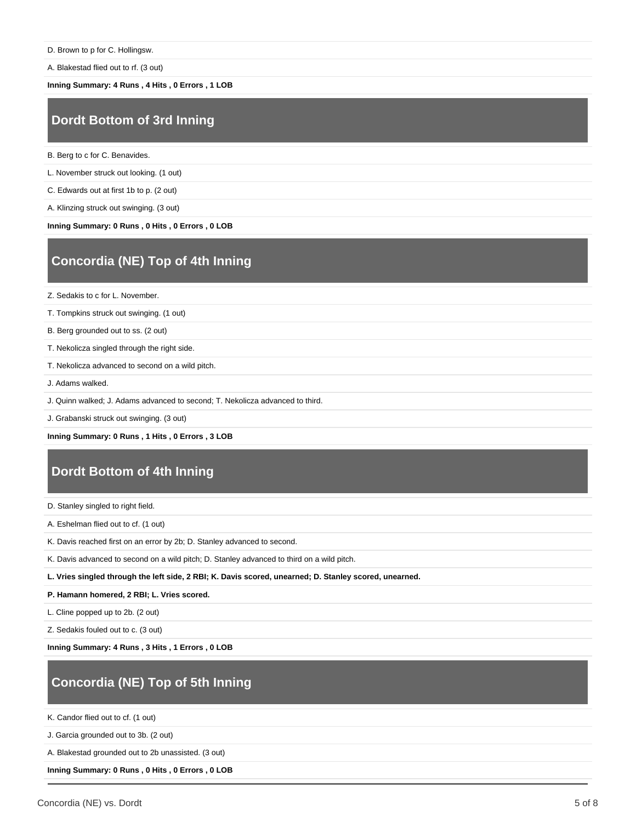D. Brown to p for C. Hollingsw.

A. Blakestad flied out to rf. (3 out)

**Inning Summary: 4 Runs , 4 Hits , 0 Errors , 1 LOB**

#### **Dordt Bottom of 3rd Inning**

B. Berg to c for C. Benavides.

L. November struck out looking. (1 out)

C. Edwards out at first 1b to p. (2 out)

A. Klinzing struck out swinging. (3 out)

**Inning Summary: 0 Runs , 0 Hits , 0 Errors , 0 LOB**

# **Concordia (NE) Top of 4th Inning**

Z. Sedakis to c for L. November.

T. Tompkins struck out swinging. (1 out)

B. Berg grounded out to ss. (2 out)

T. Nekolicza singled through the right side.

T. Nekolicza advanced to second on a wild pitch.

J. Adams walked.

J. Quinn walked; J. Adams advanced to second; T. Nekolicza advanced to third.

J. Grabanski struck out swinging. (3 out)

**Inning Summary: 0 Runs , 1 Hits , 0 Errors , 3 LOB**

### **Dordt Bottom of 4th Inning**

D. Stanley singled to right field.

A. Eshelman flied out to cf. (1 out)

K. Davis reached first on an error by 2b; D. Stanley advanced to second.

K. Davis advanced to second on a wild pitch; D. Stanley advanced to third on a wild pitch.

**L. Vries singled through the left side, 2 RBI; K. Davis scored, unearned; D. Stanley scored, unearned.**

**P. Hamann homered, 2 RBI; L. Vries scored.**

L. Cline popped up to 2b. (2 out)

Z. Sedakis fouled out to c. (3 out)

**Inning Summary: 4 Runs , 3 Hits , 1 Errors , 0 LOB**

# **Concordia (NE) Top of 5th Inning**

K. Candor flied out to cf. (1 out)

J. Garcia grounded out to 3b. (2 out)

A. Blakestad grounded out to 2b unassisted. (3 out)

**Inning Summary: 0 Runs , 0 Hits , 0 Errors , 0 LOB**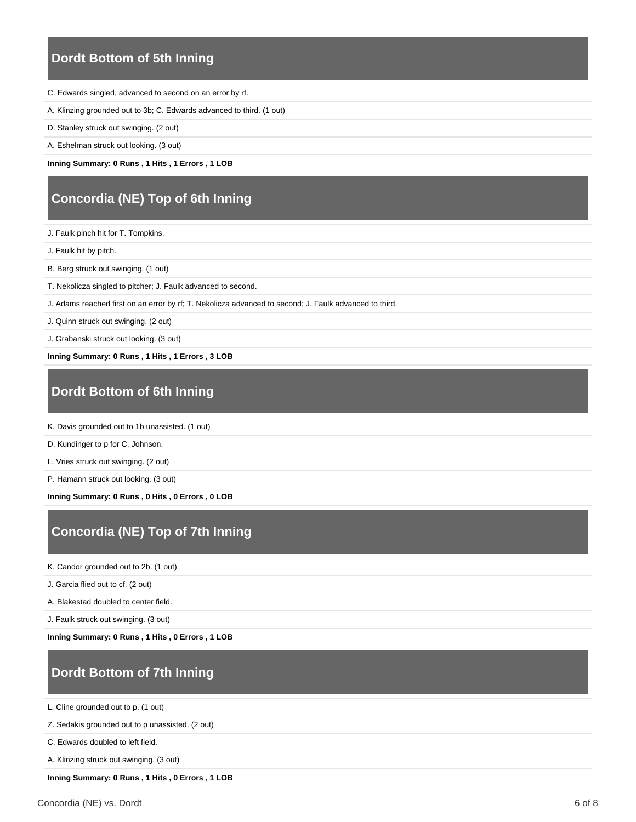### **Dordt Bottom of 5th Inning**

- C. Edwards singled, advanced to second on an error by rf.
- A. Klinzing grounded out to 3b; C. Edwards advanced to third. (1 out)
- D. Stanley struck out swinging. (2 out)
- A. Eshelman struck out looking. (3 out)

**Inning Summary: 0 Runs , 1 Hits , 1 Errors , 1 LOB**

# **Concordia (NE) Top of 6th Inning**

J. Faulk pinch hit for T. Tompkins.

- J. Faulk hit by pitch.
- B. Berg struck out swinging. (1 out)
- T. Nekolicza singled to pitcher; J. Faulk advanced to second.
- J. Adams reached first on an error by rf; T. Nekolicza advanced to second; J. Faulk advanced to third.
- J. Quinn struck out swinging. (2 out)
- J. Grabanski struck out looking. (3 out)

**Inning Summary: 0 Runs , 1 Hits , 1 Errors , 3 LOB**

### **Dordt Bottom of 6th Inning**

K. Davis grounded out to 1b unassisted. (1 out)

D. Kundinger to p for C. Johnson.

L. Vries struck out swinging. (2 out)

P. Hamann struck out looking. (3 out)

**Inning Summary: 0 Runs , 0 Hits , 0 Errors , 0 LOB**

### **Concordia (NE) Top of 7th Inning**

K. Candor grounded out to 2b. (1 out)

J. Garcia flied out to cf. (2 out)

A. Blakestad doubled to center field.

J. Faulk struck out swinging. (3 out)

**Inning Summary: 0 Runs , 1 Hits , 0 Errors , 1 LOB**

#### **Dordt Bottom of 7th Inning**

L. Cline grounded out to p. (1 out)

Z. Sedakis grounded out to p unassisted. (2 out)

C. Edwards doubled to left field.

A. Klinzing struck out swinging. (3 out)

**Inning Summary: 0 Runs , 1 Hits , 0 Errors , 1 LOB**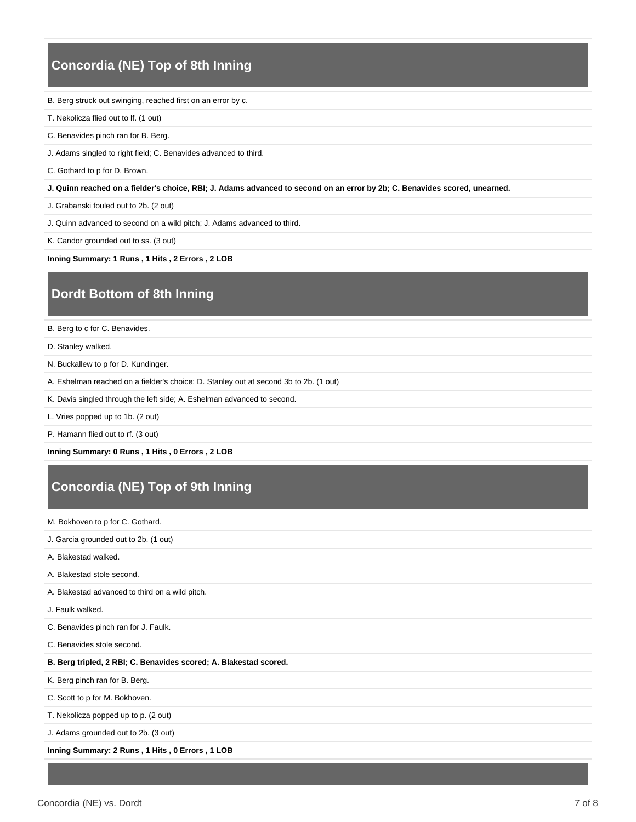### **Concordia (NE) Top of 8th Inning**

B. Berg struck out swinging, reached first on an error by c.

T. Nekolicza flied out to lf. (1 out)

C. Benavides pinch ran for B. Berg.

J. Adams singled to right field; C. Benavides advanced to third.

C. Gothard to p for D. Brown.

**J. Quinn reached on a fielder's choice, RBI; J. Adams advanced to second on an error by 2b; C. Benavides scored, unearned.**

J. Grabanski fouled out to 2b. (2 out)

J. Quinn advanced to second on a wild pitch; J. Adams advanced to third.

K. Candor grounded out to ss. (3 out)

**Inning Summary: 1 Runs , 1 Hits , 2 Errors , 2 LOB**

#### **Dordt Bottom of 8th Inning**

B. Berg to c for C. Benavides.

D. Stanley walked.

N. Buckallew to p for D. Kundinger.

A. Eshelman reached on a fielder's choice; D. Stanley out at second 3b to 2b. (1 out)

K. Davis singled through the left side; A. Eshelman advanced to second.

L. Vries popped up to 1b. (2 out)

P. Hamann flied out to rf. (3 out)

**Inning Summary: 0 Runs , 1 Hits , 0 Errors , 2 LOB**

# **Concordia (NE) Top of 9th Inning**

M. Bokhoven to p for C. Gothard.

J. Garcia grounded out to 2b. (1 out)

A. Blakestad walked.

A. Blakestad stole second.

A. Blakestad advanced to third on a wild pitch.

J. Faulk walked.

C. Benavides pinch ran for J. Faulk.

C. Benavides stole second.

#### **B. Berg tripled, 2 RBI; C. Benavides scored; A. Blakestad scored.**

K. Berg pinch ran for B. Berg.

C. Scott to p for M. Bokhoven.

T. Nekolicza popped up to p. (2 out)

J. Adams grounded out to 2b. (3 out)

**Inning Summary: 2 Runs , 1 Hits , 0 Errors , 1 LOB**